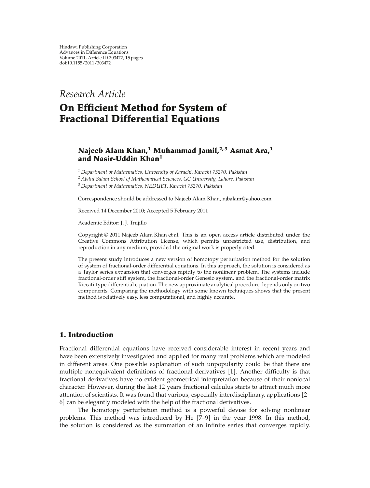*Research Article*

# **On Efficient Method for System of Fractional Differential Equations**

## **Najeeb Alam Khan,1 Muhammad Jamil,2, 3 Asmat Ara,1 and Nasir-Uddin Khan<sup>1</sup>**

*<sup>1</sup> Department of Mathematics, University of Karachi, Karachi 75270, Pakistan*

*<sup>2</sup> Abdul Salam School of Mathematical Sciences, GC University, Lahore, Pakistan*

*<sup>3</sup> Department of Mathematics, NEDUET, Karachi 75270, Pakistan*

Correspondence should be addressed to Najeeb Alam Khan, njbalam@yahoo.com

Received 14 December 2010; Accepted 5 February 2011

Academic Editor: J. J. Trujillo

Copyright © 2011 Najeeb Alam Khan et al. This is an open access article distributed under the Creative Commons Attribution License, which permits unrestricted use, distribution, and reproduction in any medium, provided the original work is properly cited.

The present study introduces a new version of homotopy perturbation method for the solution of system of fractional-order differential equations. In this approach, the solution is considered as a Taylor series expansion that converges rapidly to the nonlinear problem. The systems include fractional-order stiff system, the fractional-order Genesio system, and the fractional-order matrix Riccati-type differential equation. The new approximate analytical procedure depends only on two components. Comparing the methodology with some known techniques shows that the present method is relatively easy, less computational, and highly accurate.

## **1. Introduction**

Fractional differential equations have received considerable interest in recent years and have been extensively investigated and applied for many real problems which are modeled in different areas. One possible explanation of such unpopularity could be that there are multiple nonequivalent definitions of fractional derivatives [1]. Another difficulty is that fractional derivatives have no evident geometrical interpretation because of their nonlocal character. However, during the last 12 years fractional calculus starts to attract much more attention of scientists. It was found that various, especially interdisciplinary, applications 2– 6] can be elegantly modeled with the help of the fractional derivatives.

The homotopy perturbation method is a powerful devise for solving nonlinear problems. This method was introduced by He 7–9 in the year 1998. In this method, the solution is considered as the summation of an infinite series that converges rapidly.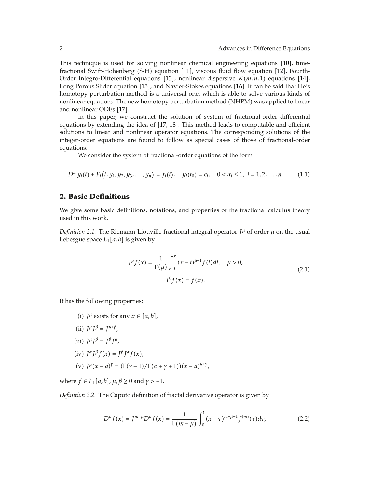This technique is used for solving nonlinear chemical engineering equations 10, timefractional Swift-Hohenberg (S-H) equation [11], viscous fluid flow equation [12], Fourth-Order Integro-Differential equations [13], nonlinear dispersive  $K(m, n, 1)$  equations [14], Long Porous Slider equation [15], and Navier-Stokes equations [16]. It can be said that He's homotopy perturbation method is a universal one, which is able to solve various kinds of nonlinear equations. The new homotopy perturbation method (NHPM) was applied to linear and nonlinear ODEs [17].

In this paper, we construct the solution of system of fractional-order differential equations by extending the idea of  $[17, 18]$ . This method leads to computable and efficient solutions to linear and nonlinear operator equations. The corresponding solutions of the integer-order equations are found to follow as special cases of those of fractional-order equations.

We consider the system of fractional-order equations of the form

$$
D^{\alpha_i}y_i(t) + F_i(t, y_1, y_2, y_3, \dots, y_n) = f_i(t), \quad y_i(t_0) = c_i, \quad 0 < \alpha_i \leq 1, \quad i = 1, 2, \dots, n. \tag{1.1}
$$

### **2. Basic Definitions**

We give some basic definitions, notations, and properties of the fractional calculus theory used in this work.

*Definition 2.1.* The Riemann-Liouville fractional integral operator  $J^{\mu}$  of order  $\mu$  on the usual Lebesgue space  $L_1[a, b]$  is given by

$$
J^{\mu}f(x) = \frac{1}{\Gamma(\mu)} \int_0^x (x - t)^{\mu - 1} f(t) dt, \quad \mu > 0,
$$
  

$$
J^0 f(x) = f(x).
$$
 (2.1)

It has the following properties:

- (i)  $I^{\mu}$  exists for any  $x \in [a, b]$ ,
- (ii)  $I^{\mu}I^{\beta} = I^{\mu+\beta}$ ,
- $(iii)$   $J^{\mu}J^{\beta} = J^{\beta}J^{\mu}$ ,
- $(iv)$   $J^{\alpha}J^{\beta}f(x) = J^{\beta}J^{\alpha}f(x),$

(v) 
$$
J^{\mu}(x-a)^{\gamma} = (\Gamma(\gamma+1)/\Gamma(\alpha+\gamma+1))(x-a)^{\mu+\gamma}
$$
,

where  $f \in L_1[a, b]$ ,  $\mu, \beta \ge 0$  and  $\gamma > -1$ .

*Definition 2.2.* The Caputo definition of fractal derivative operator is given by

$$
D^{\mu} f(x) = J^{m-\mu} D^n f(x) = \frac{1}{\Gamma(m-\mu)} \int_0^t (x-\tau)^{m-\mu-1} f^{(m)}(\tau) d\tau,
$$
 (2.2)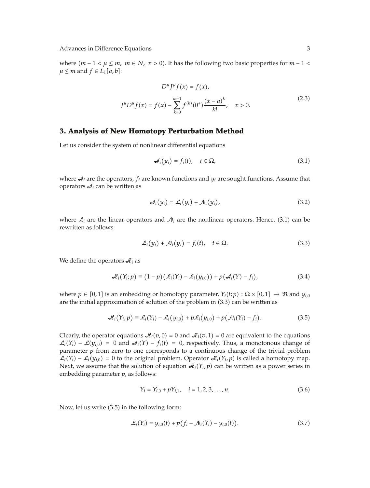where  $(m - 1 < \mu \le m, m \in N, x > 0)$ . It has the following two basic properties for  $m - 1 <$  $\mu \leq m$  and  $f \in L_1[a, b]$ :

*DμJμfx fx,*

$$
D^{\mu} J^{\mu} f(x) = f(x),
$$
  

$$
J^{\mu} D^{\mu} f(x) = f(x) - \sum_{k=0}^{m-1} f^{(k)}(0^+) \frac{(x-a)^k}{k!}, \quad x > 0.
$$
 (2.3)

#### **3. Analysis of New Homotopy Perturbation Method**

Let us consider the system of nonlinear differential equations

$$
\mathcal{A}_i(y_i) = f_i(t), \quad t \in \Omega,\tag{3.1}
$$

where  $\mathcal{A}_i$  are the operators,  $f_i$  are known functions and  $y_i$  are sought functions. Assume that operators  $\mathcal{A}_i$  can be written as

$$
\mathcal{A}_i(y_i) = \mathcal{L}_i(y_i) + \mathcal{N}_i(y_i), \qquad (3.2)
$$

where  $\mathcal{L}_i$  are the linear operators and  $\mathcal{N}_i$  are the nonlinear operators. Hence, (3.1) can be rewritten as follows:

$$
\mathcal{L}_i(y_i) + \mathcal{N}_i(y_i) = f_i(t), \quad t \in \Omega.
$$
\n(3.3)

We define the operators  $\mathcal{A}_i$  as

$$
\mathcal{H}_i(Y_i; p) \equiv (1-p) \left( \mathcal{L}_i(Y_i) - \mathcal{L}_i(y_{i,0}) \right) + p \left( \mathcal{A}_i(Y) - f_i \right), \tag{3.4}
$$

where  $p \in [0,1]$  is an embedding or homotopy parameter,  $Y_i(t;p)$  :  $\Omega \times [0,1] \to \Re$  and  $y_{i,0}$ are the initial approximation of solution of the problem in  $(3.3)$  can be written as

$$
\mathcal{H}_i(Y_i; p) \equiv \mathcal{L}_i(Y_i) - \mathcal{L}_i(y_{i,0}) + p\mathcal{L}_i(y_{i,0}) + p(\mathcal{N}_i(Y_i) - f_i). \tag{3.5}
$$

Clearly, the operator equations  $\mathcal{A}_i(v,0) = 0$  and  $\mathcal{A}_i(v,1) = 0$  are equivalent to the equations  $\mathcal{L}_i(Y_i) - \mathcal{L}(y_{i,0}) = 0$  and  $\mathcal{A}_i(Y) - f_i(t) = 0$ , respectively. Thus, a monotonous change of parameter *p* from zero to one corresponds to a continuous change of the trivial problem  $\mathcal{L}_i(Y_i) - \mathcal{L}_i(y_{i,0}) = 0$  to the original problem. Operator  $\mathcal{A}_i(Y_i, p)$  is called a homotopy map. Next, we assume that the solution of equation  $\mathcal{A}_i(Y_i, p)$  can be written as a power series in embedding parameter *p*, as follows:

$$
Y_i = Y_{i,0} + pY_{i,1}, \quad i = 1, 2, 3, ..., n. \tag{3.6}
$$

Now, let us write  $(3.5)$  in the following form:

$$
\mathcal{L}_i(Y_i) = y_{i,0}(t) + p(f_i - \mathcal{N}_i(Y_i) - y_{i,0}(t)).
$$
\n(3.7)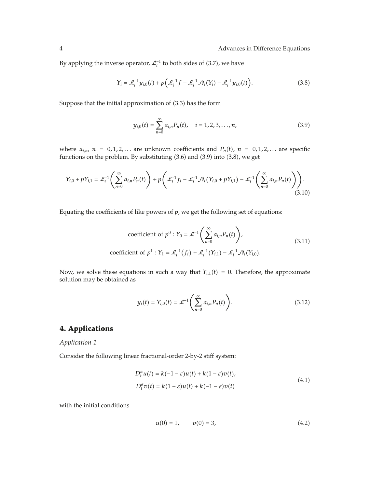By applying the inverse operator,  $\mathcal{L}_i^{-1}$  to both sides of (3.7), we have

$$
Y_i = \mathcal{L}_i^{-1} y_{i,0}(t) + p \Big( \mathcal{L}_i^{-1} f - \mathcal{L}_i^{-1} \mathcal{N}_i(Y_i) - \mathcal{L}_i^{-1} y_{i,0}(t) \Big). \tag{3.8}
$$

Suppose that the initial approximation of (3.3) has the form

$$
y_{i,0}(t) = \sum_{n=0}^{\infty} a_{i,n} P_n(t), \quad i = 1, 2, 3, ..., n,
$$
 (3.9)

where  $a_{i,n}$ ,  $n = 0,1,2,...$  are unknown coefficients and  $P_n(t)$ ,  $n = 0,1,2,...$  are specific functions on the problem. By substituting  $(3.6)$  and  $(3.9)$  into  $(3.8)$ , we get

$$
Y_{i,0} + pY_{i,1} = \mathcal{L}_i^{-1} \left( \sum_{n=0}^{\infty} a_{i,n} P_n(t) \right) + p \left( \mathcal{L}_i^{-1} f_i - \mathcal{L}_i^{-1} \mathcal{N}_i (Y_{i,0} + pY_{i,1}) - \mathcal{L}_i^{-1} \left( \sum_{n=0}^{\infty} a_{i,n} P_n(t) \right) \right).
$$
\n(3.10)

Equating the coefficients of like powers of *p*, we get the following set of equations:

coefficient of 
$$
p^0
$$
:  $Y_0 = \mathcal{L}^{-1}\left(\sum_{n=0}^{\infty} a_{i,n} P_n(t)\right)$ ,  
coefficient of  $p^1$ :  $Y_1 = \mathcal{L}_i^{-1}(f_i) + \mathcal{L}_i^{-1}(Y_{i,1}) - \mathcal{L}_i^{-1}\mathcal{N}_i(Y_{i,0})$ . (3.11)

Now, we solve these equations in such a way that  $Y_{i,1}(t) = 0$ . Therefore, the approximate solution may be obtained as

$$
y_i(t) = Y_{i,0}(t) = \mathcal{L}^{-1}\left(\sum_{n=0}^{\infty} a_{i,n} P_n(t)\right).
$$
 (3.12)

## **4. Applications**

*Application 1*

Consider the following linear fractional-order 2-by-2 stiff system:

$$
D_t^{\alpha}u(t) = k(-1 - \varepsilon)u(t) + k(1 - \varepsilon)v(t),
$$
  
\n
$$
D_t^{\alpha}v(t) = k(1 - \varepsilon)u(t) + k(-1 - \varepsilon)v(t)
$$
\n(4.1)

with the initial conditions

$$
u(0) = 1, \qquad v(0) = 3, \tag{4.2}
$$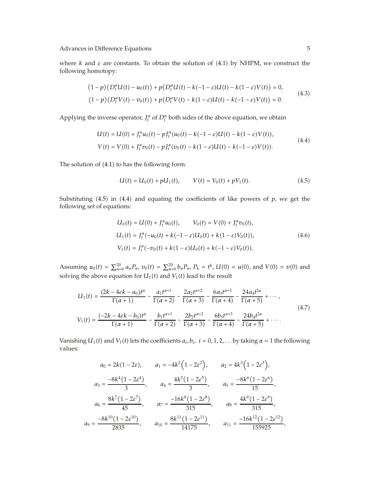where  $k$  and  $\varepsilon$  are constants. To obtain the solution of (4.1) by NHPM, we construct the following homotopy:

$$
(1-p)(D_t^{\alpha}U(t) - u_0(t)) + p(D_t^{\alpha}U(t) - k(-1 - \varepsilon)U(t) - k(1 - \varepsilon)V(t)) = 0,
$$
  

$$
(1-p)(D_t^{\alpha}V(t) - v_0(t)) + p(D_t^{\alpha}V(t) - k(1 - \varepsilon)U(t) - k(-1 - \varepsilon)V(t)) = 0.
$$
 (4.3)

Applying the inverse operator,  $J_t^{\alpha}$  of  $D_t^{\alpha}$  both sides of the above equation, we obtain

$$
U(t) = U(0) + J_t^{\alpha} u_0(t) - p J_t^{\alpha} (u_0(t) - k(-1 - \varepsilon)U(t) - k(1 - \varepsilon)V(t)),
$$
  
\n
$$
V(t) = V(0) + J_t^{\alpha} v_0(t) - p J_t^{\alpha} (v_0(t) - k(1 - \varepsilon)U(t) - k(-1 - \varepsilon)V(t)).
$$
\n(4.4)

The solution of  $(4.1)$  to has the following form:

$$
U(t) = U_0(t) + pU_1(t), \qquad V(t) = V_0(t) + pV_1(t). \tag{4.5}
$$

Substituting  $(4.5)$  in  $(4.4)$  and equating the coefficients of like powers of  $p$ , we get the following set of equations:

$$
U_0(t) = U(0) + J_t^{\alpha} u_0(t), \qquad V_0(t) = V(0) + J_t^{\alpha} v_0(t),
$$
  
\n
$$
U_1(t) = J_t^{\alpha}(-u_0(t) + k(-1 - \varepsilon)U_0(t) + k(1 - \varepsilon)V_0(t)),
$$
  
\n
$$
V_1(t) = J_t^{\alpha}(-v_0(t) + k(1 - \varepsilon)U_0(t) + k(-1 - \varepsilon)V_0(t)).
$$
\n(4.6)

Assuming  $u_0(t) = \sum_{n=0}^{20} a_n P_n$ ,  $v_0(t) = \sum_{n=0}^{20} b_n P_n$ ,  $P_k = t^k$ ,  $U(0) = u(0)$ , and  $V(0) = v(0)$  and solving the above equation for  $U_1(t)$  and  $V_1(t)$  lead to the result

$$
U_1(t) = \frac{(2k - 4\epsilon k - a_0)t^{\alpha}}{\Gamma(\alpha + 1)} - \frac{a_1t^{\alpha + 1}}{\Gamma(\alpha + 2)} - \frac{2a_2t^{\alpha + 2}}{\Gamma(\alpha + 3)} - \frac{6a_3t^{\alpha + 3}}{\Gamma(\alpha + 4)} - \frac{24a_4t^{2\alpha}}{\Gamma(\alpha + 5)} + \cdots,
$$
  
\n
$$
V_1(t) = \frac{(-2k - 4\epsilon k - b_0)t^{\alpha}}{\Gamma(\alpha + 1)} - \frac{b_1t^{\alpha + 1}}{\Gamma(\alpha + 2)} - \frac{2b_2t^{\alpha + 2}}{\Gamma(\alpha + 3)} - \frac{6b_3t^{\alpha + 3}}{\Gamma(\alpha + 4)} - \frac{24b_4t^{2\alpha}}{\Gamma(\alpha + 5)} + \cdots.
$$
\n(4.7)

Vanishing  $U_1(t)$  and  $V_1(t)$  lets the coefficients  $a_i, b_i$ ,  $i = 0, 1, 2, \ldots$  by taking  $\alpha = 1$  the following values:

$$
a_0 = 2k(1 - 2\varepsilon), \qquad a_1 = -4k^2(1 - 2\varepsilon^2), \qquad a_2 = 4k^3(1 - 2\varepsilon^3),
$$
  
\n
$$
a_3 = \frac{-8k^4(1 - 2\varepsilon^4)}{3}, \qquad a_4 = \frac{4k^5(1 - 2\varepsilon^5)}{3}, \qquad a_5 = \frac{-8k^6(1 - 2\varepsilon^6)}{15},
$$
  
\n
$$
a_6 = \frac{8k^7(1 - 2\varepsilon^7)}{45}, \qquad a_7 = \frac{-16k^8(1 - 2\varepsilon^8)}{315}, \qquad a_8 = \frac{4k^9(1 - 2\varepsilon^9)}{315},
$$
  
\n
$$
a_9 = \frac{-8k^{10}(1 - 2\varepsilon^{10})}{2835}, \qquad a_{10} = \frac{8k^{11}(1 - 2\varepsilon^{11})}{14175}, \qquad a_{11} = \frac{-16k^{12}(1 - 2\varepsilon^{12})}{155925},
$$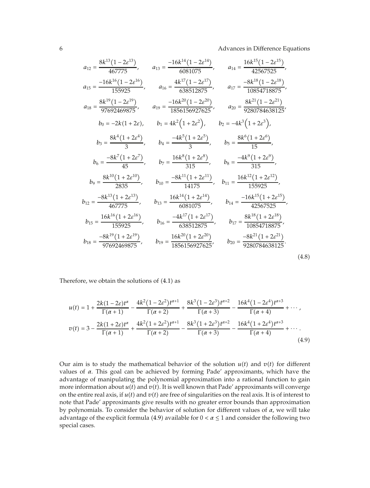$$
a_{12} = \frac{8k^{13}(1-2\varepsilon^{13})}{467775}, \t a_{13} = \frac{-16k^{14}(1-2\varepsilon^{14})}{6081075}, \t a_{14} = \frac{16k^{15}(1-2\varepsilon^{15})}{42567525},
$$
  
\n
$$
a_{15} = \frac{-16k^{16}(1-2\varepsilon^{16})}{155925}, \t a_{16} = \frac{4k^{17}(1-2\varepsilon^{17})}{638512875}, \t a_{17} = \frac{-8k^{18}(1-2\varepsilon^{18})}{10854718875},
$$
  
\n
$$
a_{18} = \frac{8k^{19}(1-2\varepsilon^{19})}{97692469875}, \t a_{19} = \frac{-16k^{20}(1-2\varepsilon^{20})}{1856156927625}, \t a_{20} = \frac{8k^{21}(1-2\varepsilon^{21})}{9280784638125},
$$
  
\n
$$
b_{0} = -2k(1+2\varepsilon), \t b_{1} = 4k^{2}(1+2\varepsilon^{2}), \t b_{2} = -4k^{3}(1+2\varepsilon^{3}),
$$
  
\n
$$
b_{3} = \frac{8k^{4}(1+2\varepsilon^{4})}{3}, \t b_{4} = \frac{-4k^{5}(1+2\varepsilon^{5})}{315}, \t b_{5} = \frac{8k^{6}(1+2\varepsilon^{6})}{15},
$$
  
\n
$$
b_{9} = \frac{8k^{10}(1+2\varepsilon^{10})}{2835}, \t b_{10} = \frac{-8k^{11}(1+2\varepsilon^{11})}{14175}, \t b_{11} = \frac{16k^{12}(1+2\varepsilon^{12})}{155925},
$$
  
\n
$$
b_{12} = \frac{-8k^{13}(1+2\varepsilon^{13})}{467775}, \t b_{13} = \frac{16k^{14}(1+2\varepsilon^{14})}{6081075}, \t b_{14} = \frac{-16k^{15}(1+2\varepsilon^{13})}{425
$$

Therefore, we obtain the solutions of  $(4.1)$  as

$$
u(t) = 1 + \frac{2k(1 - 2\varepsilon)t^{\alpha}}{\Gamma(\alpha + 1)} - \frac{4k^2(1 - 2\varepsilon^2)t^{\alpha + 1}}{\Gamma(\alpha + 2)} + \frac{8k^3(1 - 2\varepsilon^3)t^{\alpha + 2}}{\Gamma(\alpha + 3)} - \frac{16k^4(1 - 2\varepsilon^4)t^{\alpha + 3}}{\Gamma(\alpha + 4)} + \cdots,
$$
  

$$
v(t) = 3 - \frac{2k(1 + 2\varepsilon)t^{\alpha}}{\Gamma(\alpha + 1)} + \frac{4k^2(1 + 2\varepsilon^2)t^{\alpha + 1}}{\Gamma(\alpha + 2)} - \frac{8k^3(1 + 2\varepsilon^3)t^{\alpha + 2}}{\Gamma(\alpha + 3)} - \frac{16k^4(1 + 2\varepsilon^4)t^{\alpha + 3}}{\Gamma(\alpha + 4)} + \cdots.
$$
  
(4.9)

Our aim is to study the mathematical behavior of the solution  $u(t)$  and  $v(t)$  for different values of *α*. This goal can be achieved by forming Pade' approximants, which have the advantage of manipulating the polynomial approximation into a rational function to gain more information about  $u(t)$  and  $v(t)$ . It is well known that Pade' approximants will converge on the entire real axis, if  $u(t)$  and  $v(t)$  are free of singularities on the real axis. It is of interest to note that Pade' approximants give results with no greater error bounds than approximation by polynomials. To consider the behavior of solution for different values of *α*, we will take advantage of the explicit formula (4.9) available for  $0 < \alpha \le 1$  and consider the following two special cases.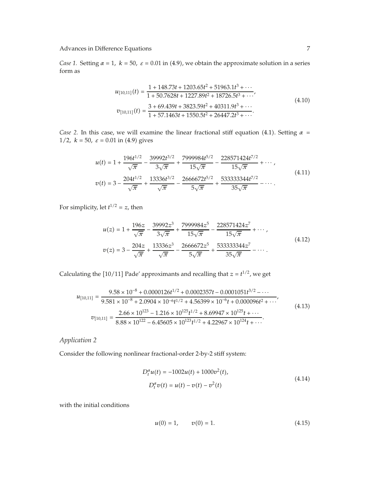*Case 1.* Setting  $\alpha = 1$ ,  $k = 50$ ,  $\varepsilon = 0.01$  in (4.9), we obtain the approximate solution in a series form as

$$
u_{[10,11]}(t) = \frac{1 + 148.73t + 1203.65t^2 + 51963.1t^3 + \cdots}{1 + 50.7628t + 1227.89t^2 + 18726.5t^3 + \cdots},
$$
  
\n
$$
v_{[10,11]}(t) = \frac{3 + 69.439t + 3823.59t^2 + 40311.9t^3 + \cdots}{1 + 57.1463t + 1550.5t^2 + 26447.2t^3 + \cdots}.
$$
\n(4.10)

*Case 2.* In this case, we will examine the linear fractional stiff equation (4.1). Setting  $\alpha$  = 1/2,  $k = 50$ ,  $\varepsilon = 0.01$  in (4.9) gives

$$
u(t) = 1 + \frac{196t^{1/2}}{\sqrt{\pi}} - \frac{39992t^{3/2}}{3\sqrt{\pi}} + \frac{7999984t^{5/2}}{15\sqrt{\pi}} - \frac{228571424t^{7/2}}{15\sqrt{\pi}} + \cdots,
$$
  
\n
$$
v(t) = 3 - \frac{204t^{1/2}}{\sqrt{\pi}} + \frac{13336t^{3/2}}{\sqrt{\pi}} - \frac{2666672t^{5/2}}{5\sqrt{\pi}} + \frac{533333344t^{7/2}}{35\sqrt{\pi}} - \cdots.
$$
\n(4.11)

For simplicity, let  $t^{1/2} = z$ , then

$$
u(z) = 1 + \frac{196z}{\sqrt{\pi}} - \frac{39992z^3}{3\sqrt{\pi}} + \frac{7999984z^5}{15\sqrt{\pi}} - \frac{228571424z^7}{15\sqrt{\pi}} + \cdots,
$$
  
\n
$$
v(z) = 3 - \frac{204z}{\sqrt{\pi}} + \frac{13336z^3}{\sqrt{\pi}} - \frac{2666672z^5}{5\sqrt{\pi}} + \frac{533333344z^7}{35\sqrt{\pi}} - \cdots.
$$
\n(4.12)

Calculating the [10/11] Pade' approximants and recalling that  $z = t^{1/2}$ , we get

$$
u_{[10,11]} = \frac{9.58 \times 10^{-8} + 0.0000126t^{1/2} + 0.0002357t - 0.0001051t^{3/2} - \cdots}{9.581 \times 10^{-8} + 2.0904 \times 10^{-6}t^{1/2} + 4.56399 \times 10^{-6}t + 0.000096t^2 + \cdots},
$$
  
\n
$$
v_{[10,11]} = \frac{2.66 \times 10^{123} - 1.216 \times 10^{125}t^{1/2} + 8.69947 \times 10^{125}t + \cdots}{8.88 \times 10^{122} - 6.45605 \times 10^{123}t^{1/2} + 4.22967 \times 10^{124}t + \cdots}.
$$
\n(4.13)

#### *Application 2*

Consider the following nonlinear fractional-order 2-by-2 stiff system:

$$
D_t^{\alpha} u(t) = -1002u(t) + 1000v^2(t),
$$
  
\n
$$
D_t^{\alpha} v(t) = u(t) - v(t) - v^2(t)
$$
\n(4.14)

with the initial conditions

$$
u(0) = 1, \qquad v(0) = 1. \tag{4.15}
$$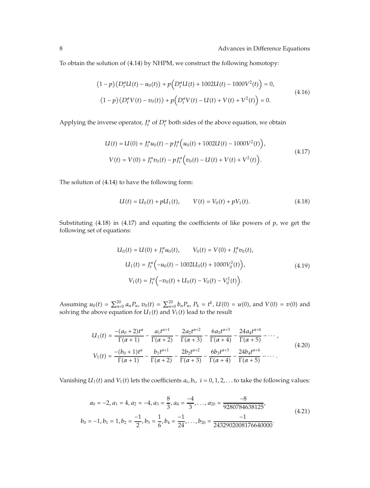To obtain the solution of (4.14) by NHPM, we construct the following homotopy:

$$
(1-p)(D_t^{\alpha}U(t) - u_0(t)) + p(D_t^{\alpha}U(t) + 1002U(t) - 1000V^2(t)) = 0,
$$
  

$$
(1-p)(D_t^{\alpha}V(t) - v_0(t)) + p(D_t^{\alpha}V(t) - U(t) + V(t) + V^2(t)) = 0.
$$
 (4.16)

Applying the inverse operator,  $J_t^{\alpha}$  of  $D_t^{\alpha}$  both sides of the above equation, we obtain

$$
U(t) = U(0) + J_t^{\alpha} u_0(t) - p J_t^{\alpha} \Big( u_0(t) + 1002U(t) - 1000V^2(t) \Big),
$$
  
\n
$$
V(t) = V(0) + J_t^{\alpha} v_0(t) - p J_t^{\alpha} \Big( v_0(t) - U(t) + V(t) + V^2(t) \Big).
$$
\n(4.17)

The solution of  $(4.14)$  to have the following form:

$$
U(t) = U_0(t) + pU_1(t), \qquad V(t) = V_0(t) + pV_1(t). \tag{4.18}
$$

Substituting  $(4.18)$  in  $(4.17)$  and equating the coefficients of like powers of  $p$ , we get the following set of equations:

$$
U_0(t) = U(0) + J_t^{\alpha} u_0(t), \qquad V_0(t) = V(0) + J_t^{\alpha} v_0(t),
$$
  
\n
$$
U_1(t) = J_t^{\alpha} \left( -u_0(t) - 1002 U_0(t) + 1000 V_0^2(t) \right),
$$
  
\n
$$
V_1(t) = J_t^{\alpha} \left( -v_0(t) + U_0(t) - V_0(t) - V_0^2(t) \right).
$$
\n(4.19)

Assuming  $u_0(t) = \sum_{n=0}^{20} a_n P_n$ ,  $v_0(t) = \sum_{n=0}^{20} b_n P_n$ ,  $P_k = t^k$ ,  $U(0) = u(0)$ , and  $V(0) = v(0)$  and solving the above equation for  $U_1(t)$  and  $V_1(t)$  lead to the result

$$
U_1(t) = \frac{-(a_0 + 2)t^{\alpha}}{\Gamma(\alpha + 1)} - \frac{a_1 t^{\alpha + 1}}{\Gamma(\alpha + 2)} - \frac{2a_2 t^{\alpha + 2}}{\Gamma(\alpha + 3)} - \frac{6a_3 t^{\alpha + 3}}{\Gamma(\alpha + 4)} - \frac{24a_4 t^{\alpha + 4}}{\Gamma(\alpha + 5)} - \cdots,
$$
  
\n
$$
V_1(t) = \frac{-(b_0 + 1)t^{\alpha}}{\Gamma(\alpha + 1)} - \frac{b_1 t^{\alpha + 1}}{\Gamma(\alpha + 2)} - \frac{2b_2 t^{\alpha + 2}}{\Gamma(\alpha + 3)} - \frac{6b_3 t^{\alpha + 3}}{\Gamma(\alpha + 4)} - \frac{24b_4 t^{\alpha + 4}}{\Gamma(\alpha + 5)} - \cdots.
$$
\n(4.20)

Vanishing  $U_1(t)$  and  $V_1(t)$  lets the coefficients  $a_i, b_i$ ,  $i = 0, 1, 2, \ldots$  to take the following values:

$$
a_0 = -2, a_1 = 4, a_2 = -4, a_3 = \frac{8}{3}, a_4 = \frac{-4}{3}, \dots, a_{20} = \frac{-8}{9280784638125},
$$
  
\n
$$
b_0 = -1, b_1 = 1, b_2 = \frac{-1}{2}, b_3 = \frac{1}{6}, b_4 = \frac{-1}{24}, \dots, b_{20} = \frac{-1}{2432902008176640000}.
$$
\n(4.21)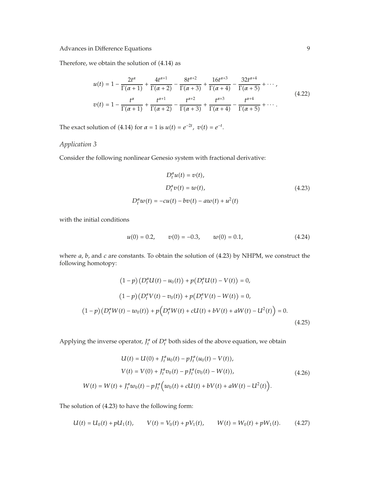Therefore, we obtain the solution of  $(4.14)$  as

$$
u(t) = 1 - \frac{2t^{\alpha}}{\Gamma(\alpha+1)} + \frac{4t^{\alpha+1}}{\Gamma(\alpha+2)} - \frac{8t^{\alpha+2}}{\Gamma(\alpha+3)} + \frac{16t^{\alpha+3}}{\Gamma(\alpha+4)} - \frac{32t^{\alpha+4}}{\Gamma(\alpha+5)} + \cdots,
$$
  
\n
$$
v(t) = 1 - \frac{t^{\alpha}}{\Gamma(\alpha+1)} + \frac{t^{\alpha+1}}{\Gamma(\alpha+2)} - \frac{t^{\alpha+2}}{\Gamma(\alpha+3)} + \frac{t^{\alpha+3}}{\Gamma(\alpha+4)} - \frac{t^{\alpha+4}}{\Gamma(\alpha+5)} + \cdots.
$$
\n(4.22)

The exact solution of (4.14) for  $\alpha = 1$  is  $u(t) = e^{-2t}$ ,  $v(t) = e^{-t}$ .

## *Application 3*

Consider the following nonlinear Genesio system with fractional derivative:

$$
D_t^{\alpha}u(t) = v(t),
$$
  
\n
$$
D_t^{\alpha}v(t) = w(t),
$$
  
\n
$$
D_t^{\alpha}w(t) = -cu(t) - bv(t) - aw(t) + u^2(t)
$$
\n(4.23)

with the initial conditions

$$
u(0) = 0.2, \qquad v(0) = -0.3, \qquad w(0) = 0.1,\tag{4.24}
$$

where *a*, *b*, and *c* are constants. To obtain the solution of (4.23) by NHPM, we construct the following homotopy:

$$
(1-p)(D_t^{\alpha}U(t) - u_0(t)) + p(D_t^{\alpha}U(t) - V(t)) = 0,
$$
  
\n
$$
(1-p)(D_t^{\alpha}V(t) - v_0(t)) + p(D_t^{\alpha}V(t) - W(t)) = 0,
$$
  
\n
$$
(1-p)(D_t^{\alpha}W(t) - w_0(t)) + p(D_t^{\alpha}W(t) + cU(t) + bV(t) + aW(t) - U^2(t)) = 0.
$$
  
\n(4.25)

Applying the inverse operator,  $J_t^{\alpha}$  of  $D_t^{\alpha}$  both sides of the above equation, we obtain

$$
U(t) = U(0) + J_t^{\alpha} u_0(t) - p J_t^{\alpha} (u_0(t) - V(t)),
$$
  
\n
$$
V(t) = V(0) + J_t^{\alpha} v_0(t) - p J_t^{\alpha} (v_0(t) - W(t)),
$$
  
\n
$$
W(t) = W(t) + J_t^{\alpha} w_0(t) - p J_t^{\alpha} (w_0(t) + c U(t) + b V(t) + a W(t) - U^2(t)).
$$
\n(4.26)

The solution of (4.23) to have the following form:

$$
U(t) = U_0(t) + pU_1(t), \qquad V(t) = V_0(t) + pV_1(t), \qquad W(t) = W_0(t) + pW_1(t). \tag{4.27}
$$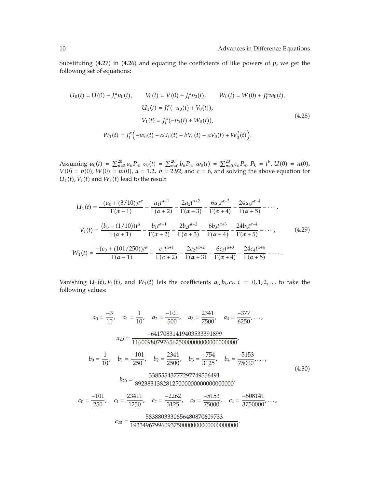Substituting  $(4.27)$  in  $(4.26)$  and equating the coefficients of like powers of  $p$ , we get the following set of equations:

$$
U_0(t) = U(0) + J_t^{\alpha} u_0(t), \qquad V_0(t) = V(0) + J_t^{\alpha} v_0(t), \qquad W_0(t) = W(0) + J_t^{\alpha} w_0(t),
$$

$$
U_1(t) = J_t^{\alpha}(-u_0(t) + V_0(t)),
$$

$$
V_1(t) = J_t^{\alpha}(-v_0(t) + W_0(t)),
$$

$$
W_1(t) = J_t^{\alpha}(-w_0(t) - cU_0(t) - bV_0(t) - aV_0(t) + W_0^2(t)).
$$
(4.28)

Assuming  $u_0(t) = \sum_{n=0}^{20} a_n P_n$ ,  $v_0(t) = \sum_{n=0}^{20} b_n P_n$ ,  $w_0(t) = \sum_{n=0}^{20} c_n P_n$ ,  $P_k = t^k$ ,  $U(0) = u(0)$ ,  $V(0) = v(0)$ ,  $W(0) = w(0)$ ,  $a = 1.2$ ,  $b = 2.92$ , and  $c = 6$ , and solving the above equation for  $U_1(t)$ ,  $V_1(t)$  and  $W_1(t)$  lead to the result

$$
U_{1}(t) = \frac{-(a_{0} + (3/10))t^{\alpha}}{\Gamma(\alpha + 1)} - \frac{a_{1}t^{\alpha + 1}}{\Gamma(\alpha + 2)} - \frac{2a_{2}t^{\alpha + 2}}{\Gamma(\alpha + 3)} - \frac{6a_{3}t^{\alpha + 3}}{\Gamma(\alpha + 4)} - \frac{24a_{4}t^{\alpha + 4}}{\Gamma(\alpha + 5)} - \cdots,
$$
  
\n
$$
V_{1}(t) = \frac{(b_{0} - (1/10))t^{\alpha}}{\Gamma(\alpha + 1)} - \frac{b_{1}t^{\alpha + 1}}{\Gamma(\alpha + 2)} - \frac{2b_{2}t^{\alpha + 2}}{\Gamma(\alpha + 3)} - \frac{6b_{3}t^{\alpha + 3}}{\Gamma(\alpha + 4)} - \frac{24b_{4}t^{\alpha + 4}}{\Gamma(\alpha + 5)} - \cdots,
$$
  
\n
$$
W_{1}(t) = \frac{-(c_{0} + (101/250))t^{\alpha}}{\Gamma(\alpha + 1)} - \frac{c_{1}t^{\alpha + 1}}{\Gamma(\alpha + 2)} - \frac{2c_{2}t^{\alpha + 2}}{\Gamma(\alpha + 3)} - \frac{6c_{3}t^{\alpha + 3}}{\Gamma(\alpha + 4)} - \frac{24c_{4}t^{\alpha + 4}}{\Gamma(\alpha + 5)} - \cdots.
$$
  
\n(4.29)

Vanishing  $U_1(t)$ ,  $V_1(t)$ , and  $W_1(t)$  lets the coefficients  $a_i, b_i, c_i$ ,  $i = 0, 1, 2, \ldots$  to take the following values:

*<sup>a</sup>*<sup>0</sup> <sup>−</sup><sup>3</sup> <sup>10</sup> *, a*<sup>1</sup> <sup>1</sup> <sup>10</sup>*, a*<sup>2</sup> <sup>−</sup><sup>101</sup> <sup>500</sup> *, a*<sup>3</sup> <sup>2341</sup> <sup>7500</sup>*, a*<sup>4</sup> <sup>−</sup><sup>377</sup> <sup>6250</sup> *,..., <sup>a</sup>*<sup>20</sup> <sup>−</sup><sup>64170831419403533391899</sup> <sup>1160098079765625000000000000000000</sup>*, <sup>b</sup>*<sup>0</sup> <sup>1</sup> <sup>10</sup>*, b*<sup>1</sup> <sup>−</sup><sup>101</sup> <sup>250</sup> *, b*<sup>2</sup> <sup>2341</sup> <sup>2500</sup>*, b*<sup>3</sup> <sup>−</sup><sup>754</sup> <sup>3125</sup> *, b*<sup>4</sup> <sup>−</sup><sup>5153</sup> <sup>75000</sup> *,..., <sup>b</sup>*<sup>20</sup> <sup>33855543777297749556491</sup> <sup>89238313828125000000000000000000</sup>*, <sup>c</sup>*<sup>0</sup> <sup>−</sup><sup>101</sup> <sup>250</sup> *, c*<sup>1</sup> <sup>23411</sup> <sup>1250</sup> *, c*<sup>2</sup> <sup>−</sup><sup>2262</sup> <sup>3125</sup> *, c*<sup>3</sup> <sup>−</sup><sup>5153</sup> <sup>75000</sup> *, c*<sup>4</sup> <sup>−</sup><sup>508141</sup> <sup>3750000</sup> *,..., <sup>c</sup>*<sup>20</sup> <sup>5838803330656480870609733</sup> <sup>19334967996093750000000000000000000</sup>*.* 4.30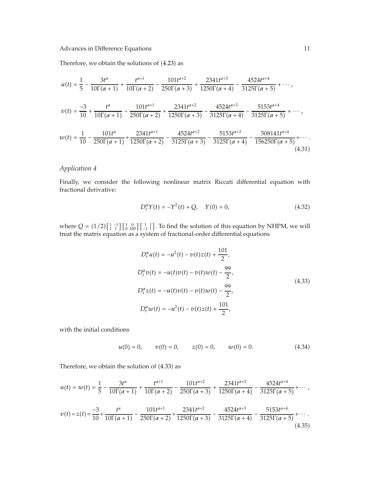Therefore, we obtain the solutions of  $(4.23)$  as

$$
u(t) = \frac{1}{5} - \frac{3t^{\alpha}}{10\Gamma(\alpha+1)} + \frac{t^{\alpha+1}}{10\Gamma(\alpha+2)} - \frac{101t^{\alpha+2}}{250\Gamma(\alpha+3)} + \frac{2341t^{\alpha+3}}{1250\Gamma(\alpha+4)} - \frac{4524t^{\alpha+4}}{3125\Gamma(\alpha+5)} + \cdots,
$$
  

$$
v(t) = \frac{-3}{10} + \frac{t^{\alpha}}{10\Gamma(\alpha+1)} - \frac{101t^{\alpha+1}}{250\Gamma(\alpha+2)} + \frac{2341t^{\alpha+2}}{1250\Gamma(\alpha+3)} - \frac{4524t^{\alpha+3}}{3125\Gamma(\alpha+4)} - \frac{5153t^{\alpha+4}}{3125\Gamma(\alpha+5)} + \cdots,
$$
  

$$
w(t) = \frac{1}{10} - \frac{101t^{\alpha}}{250\Gamma(\alpha+1)} + \frac{2341t^{\alpha+1}}{1250\Gamma(\alpha+2)} - \frac{4524t^{\alpha+2}}{3125\Gamma(\alpha+3)} - \frac{5153t^{\alpha+3}}{3125\Gamma(\alpha+4)} - \frac{508141t^{\alpha+4}}{156250\Gamma(\alpha+5)} + \cdots.
$$
  
(4.31)

## *Application 4*

Finally, we consider the following nonlinear matrix Riccati differential equation with fractional derivative:

$$
D_t^{\alpha} Y(t) = -Y^2(t) + Q, \quad Y(0) = 0,
$$
\n(4.32)

where  $Q = (1/2) \begin{bmatrix} 1 & -1 \\ 1 & 1 \end{bmatrix} \begin{bmatrix} 1 & 0 \\ 0 & 100 \end{bmatrix} \begin{bmatrix} 1 & 1 \\ -1 & 1 \end{bmatrix}$ . To find the solution of this equation by NHPM, we will treat the matrix equation as a system of fractional-order differential equations

$$
D_t^{\alpha}u(t) = -u^2(t) - v(t)z(t) + \frac{101}{2},
$$
  
\n
$$
D_t^{\alpha}v(t) = -u(t)v(t) - v(t)w(t) - \frac{99}{2},
$$
  
\n
$$
D_t^{\alpha}z(t) = -u(t)v(t) - v(t)w(t) - \frac{99}{2},
$$
  
\n
$$
D_t^{\alpha}w(t) = -u^2(t) - v(t)z(t) + \frac{101}{2},
$$
\n(4.33)

with the initial conditions

$$
u(0) = 0, \qquad v(0) = 0, \qquad z(0) = 0, \qquad w(0) = 0. \tag{4.34}
$$

Therefore, we obtain the solution of  $(4.33)$  as

$$
u(t) = w(t) = \frac{1}{5} - \frac{3t^{\alpha}}{10\Gamma(\alpha+1)} + \frac{t^{\alpha+1}}{10\Gamma(\alpha+2)} - \frac{101t^{\alpha+2}}{250\Gamma(\alpha+3)} + \frac{2341t^{\alpha+3}}{1250\Gamma(\alpha+4)} - \frac{4524t^{\alpha+4}}{3125\Gamma(\alpha+5)} + \cdots,
$$

$$
v(t) = z(t) = \frac{-3}{10} + \frac{t^{\alpha}}{10\Gamma(\alpha+1)} - \frac{101t^{\alpha+1}}{250\Gamma(\alpha+2)} + \frac{2341t^{\alpha+2}}{1250\Gamma(\alpha+3)} - \frac{4524t^{\alpha+3}}{3125\Gamma(\alpha+4)} - \frac{5153t^{\alpha+4}}{3125\Gamma(\alpha+5)} + \cdots
$$
\n(4.35)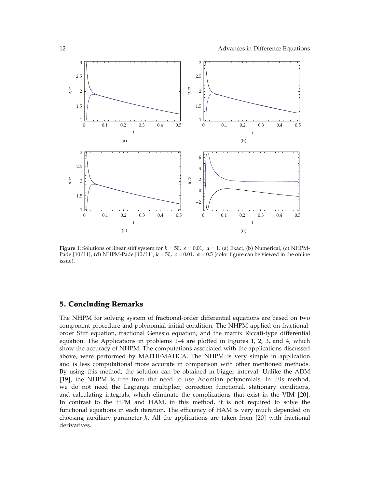

**Figure 1:** Solutions of linear stiff system for  $k = 50$ ,  $\varepsilon = 0.01$ ,  $\alpha = 1$ , (a) Exact, (b) Numerical, (c) NHPM-Pade [10/11], (d) NHPM-Pade [10/11],  $k = 50$ ,  $\varepsilon = 0.01$ ,  $\alpha = 0.5$  (color figure can be viewed in the online issue).

#### **5. Concluding Remarks**

The NHPM for solving system of fractional-order differential equations are based on two component procedure and polynomial initial condition. The NHPM applied on fractionalorder Stiff equation, fractional Genesio equation, and the matrix Riccati-type differential equation. The Applications in problems 1–4 are plotted in Figures 1, 2, 3, and 4, which show the accuracy of NHPM. The computations associated with the applications discussed above, were performed by MATHEMATICA. The NHPM is very simple in application and is less computational more accurate in comparison with other mentioned methods. By using this method, the solution can be obtained in bigger interval. Unlike the ADM [19], the NHPM is free from the need to use Adomian polynomials. In this method, we do not need the Lagrange multiplier, correction functional, stationary conditions, and calculating integrals, which eliminate the complications that exist in the VIM [20]. In contrast to the HPM and HAM, in this method, it is not required to solve the functional equations in each iteration. The efficiency of HAM is very much depended on choosing auxiliary parameter  $\hbar$ . All the applications are taken from [20] with fractional derivatives.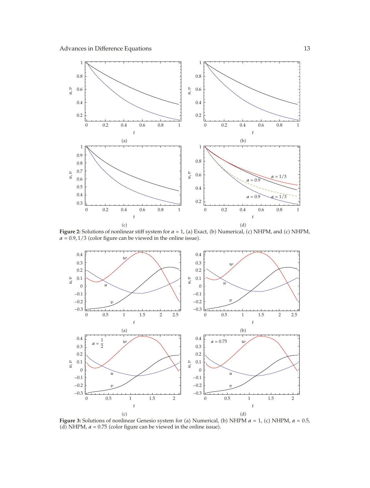

**Figure 2:** Solutions of nonlinear stiff system for  $\alpha = 1$ , (a) Exact, (b) Numerical, (c) NHPM, and (c) NHPM,  $\alpha = 0.9, 1/3$  (color figure can be viewed in the online issue).



**Figure 3:** Solutions of nonlinear Genesio system for (a) Numerical, (b) NHPM  $\alpha = 1$ , (c) NHPM,  $\alpha = 0.5$ , (d) NHPM,  $\alpha$  = 0.75 (color figure can be viewed in the online issue).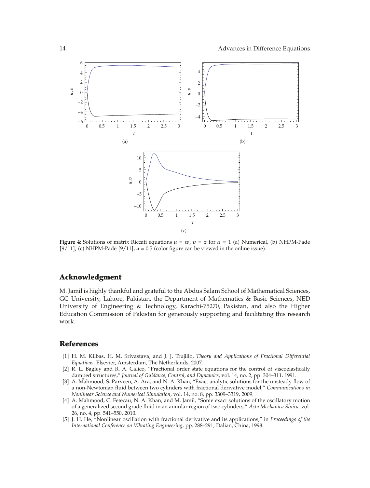

**Figure 4:** Solutions of matrix Riccati equations  $u = w$ ,  $v = z$  for  $\alpha = 1$  (a) Numerical, (b) NHPM-Pade [9/11], (c) NHPM-Pade [9/11],  $\alpha = 0.5$  (color figure can be viewed in the online issue).

#### **Acknowledgment**

M. Jamil is highly thankful and grateful to the Abdus Salam School of Mathematical Sciences, GC University, Lahore, Pakistan, the Department of Mathematics & Basic Sciences, NED University of Engineering & Technology, Karachi-75270, Pakistan, and also the Higher Education Commission of Pakistan for generously supporting and facilitating this research work.

#### **References**

- 1 H. M. Kilbas, H. M. Srivastava, and J. J. Trujillo, *Theory and Applications of Fractional Differential Equations*, Elsevier, Amsterdam, The Netherlands, 2007.
- 2 R. L. Bagley and R. A. Calico, "Fractional order state equations for the control of viscoelastically damped structures," *Journal of Guidance, Control, and Dynamics*, vol. 14, no. 2, pp. 304–311, 1991.
- [3] A. Mahmood, S. Parveen, A. Ara, and N. A. Khan, "Exact analytic solutions for the unsteady flow of a non-Newtonian fluid between two cylinders with fractional derivative model," *Communications in Nonlinear Science and Numerical Simulation*, vol. 14, no. 8, pp. 3309–3319, 2009.
- [4] A. Mahmood, C. Fetecau, N. A. Khan, and M. Jamil, "Some exact solutions of the oscillatory motion of a generalized second grade fluid in an annular region of two cylinders," *Acta Mechanica Sinica*, vol. 26, no. 4, pp. 541–550, 2010.
- 5 J. H. He, "Nonlinear oscillation with fractional derivative and its applications," in *Proceedings of the International Conference on Vibrating Engineering*, pp. 288–291, Dalian, China, 1998.